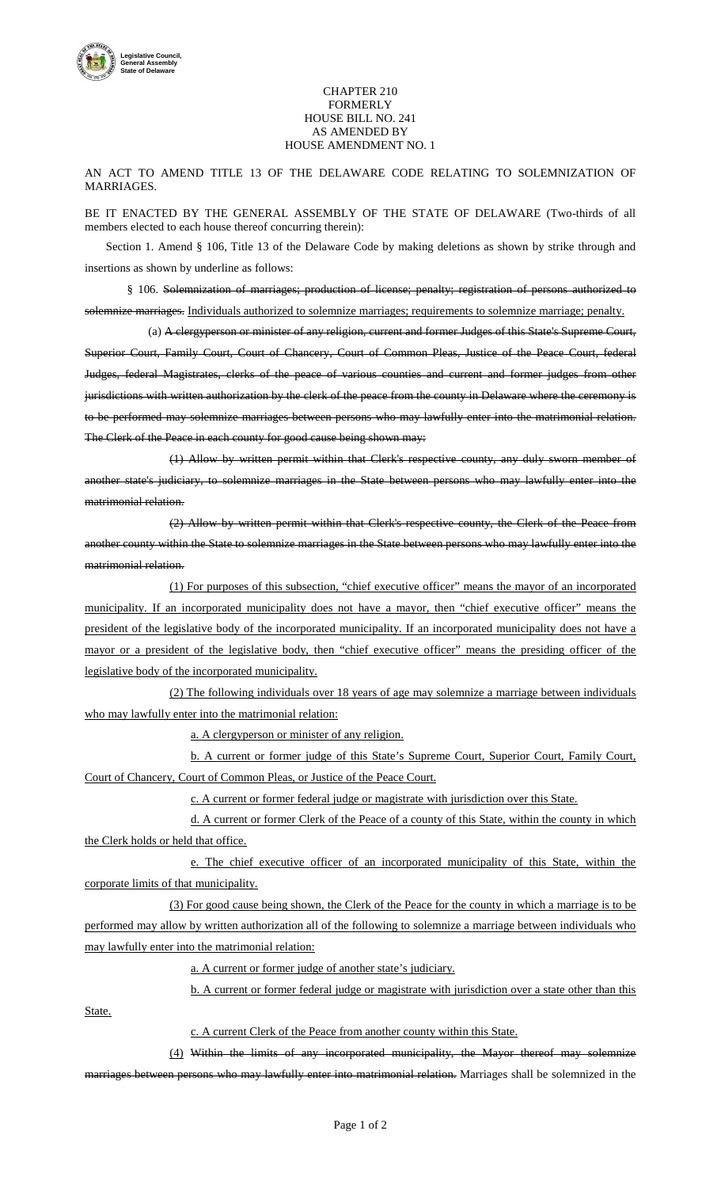

## CHAPTER 210 FORMERLY HOUSE BILL NO. 241 AS AMENDED BY HOUSE AMENDMENT NO. 1

AN ACT TO AMEND TITLE 13 OF THE DELAWARE CODE RELATING TO SOLEMNIZATION OF MARRIAGES.

BE IT ENACTED BY THE GENERAL ASSEMBLY OF THE STATE OF DELAWARE (Two-thirds of all members elected to each house thereof concurring therein):

Section 1. Amend § 106, Title 13 of the Delaware Code by making deletions as shown by strike through and insertions as shown by underline as follows:

§ 106. Solemnization of marriages; production of license; penalty; registration of persons authorized to solemnize marriages. Individuals authorized to solemnize marriages; requirements to solemnize marriage; penalty.

(a) A clergyperson or minister of any religion, current and former Judges of this State's Supreme Court, Superior Court, Family Court, Court of Chancery, Court of Common Pleas, Justice of the Peace Court, federal Judges, federal Magistrates, clerks of the peace of various counties and current and former judges from other jurisdictions with written authorization by the clerk of the peace from the county in Delaware where the ceremony is to be performed may solemnize marriages between persons who may lawfully enter into the matrimonial relation. The Clerk of the Peace in each county for good cause being shown may:

(1) Allow by written permit within that Clerk's respective county, any duly sworn member of another state's judiciary, to solemnize marriages in the State between persons who may lawfully enter into the matrimonial relation.

(2) Allow by written permit within that Clerk's respective county, the Clerk of the Peace from another county within the State to solemnize marriages in the State between persons who may lawfully enter into the matrimonial relation.

(1) For purposes of this subsection, "chief executive officer" means the mayor of an incorporated municipality. If an incorporated municipality does not have a mayor, then "chief executive officer" means the president of the legislative body of the incorporated municipality. If an incorporated municipality does not have a mayor or a president of the legislative body, then "chief executive officer" means the presiding officer of the legislative body of the incorporated municipality.

(2) The following individuals over 18 years of age may solemnize a marriage between individuals who may lawfully enter into the matrimonial relation:

a. A clergyperson or minister of any religion.

b. A current or former judge of this State's Supreme Court, Superior Court, Family Court, Court of Chancery, Court of Common Pleas, or Justice of the Peace Court.

c. A current or former federal judge or magistrate with jurisdiction over this State.

d. A current or former Clerk of the Peace of a county of this State, within the county in which the Clerk holds or held that office.

e. The chief executive officer of an incorporated municipality of this State, within the corporate limits of that municipality.

(3) For good cause being shown, the Clerk of the Peace for the county in which a marriage is to be performed may allow by written authorization all of the following to solemnize a marriage between individuals who may lawfully enter into the matrimonial relation:

a. A current or former judge of another state's judiciary.

b. A current or former federal judge or magistrate with jurisdiction over a state other than this

State.

c. A current Clerk of the Peace from another county within this State.

(4) Within the limits of any incorporated municipality, the Mayor thereof may solemnize

marriages between persons who may lawfully enter into matrimonial relation. Marriages shall be solemnized in the